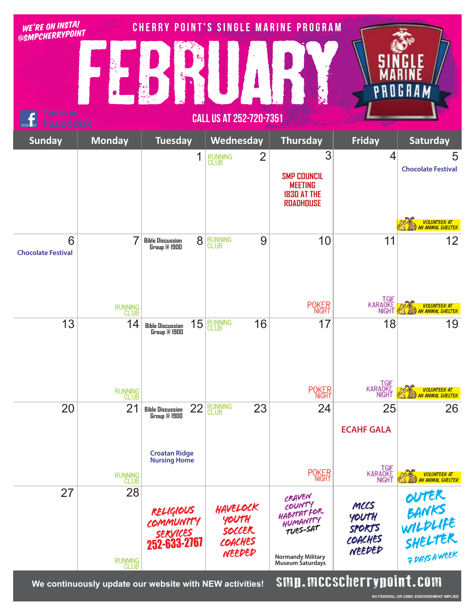| WE'RE ON INSTA!<br>@SMPCHERRYPOINT |                       |                                                                  |                                                  | <b>CHERRY POINT'S SINGLE MARINE PROGRAM</b>                                                            |                                                     |                                                     |
|------------------------------------|-----------------------|------------------------------------------------------------------|--------------------------------------------------|--------------------------------------------------------------------------------------------------------|-----------------------------------------------------|-----------------------------------------------------|
|                                    |                       |                                                                  |                                                  |                                                                                                        |                                                     | GHAM                                                |
| Find us on<br>acebook              |                       |                                                                  | <b>CALL US AT 252-720-7351</b>                   |                                                                                                        |                                                     |                                                     |
| <b>Sunday</b>                      | <b>Monday</b>         | <b>Tuesday</b>                                                   | Wednesday                                        | <b>Thursday</b>                                                                                        | <b>Friday</b>                                       | <b>Saturday</b>                                     |
|                                    |                       | 1                                                                | $\overline{2}$<br><b>RUNNING</b><br>CLUB         | 3<br><b>SMP COUNCIL</b><br><b>MEETING</b><br><b>1830 AT THE</b><br><b>ROADHOUSE</b>                    | 4                                                   | 5<br><b>Chocolate Festival</b>                      |
|                                    |                       |                                                                  |                                                  |                                                                                                        |                                                     | VOLUNTEER AT<br>AN ANIMAL SHELTER                   |
| 6<br><b>Chocolate Festival</b>     | 7                     | 8<br><b>Bible Discussion</b><br>Group @ 1900                     | 9<br><b>RUNNING</b><br>CLUB                      | 10                                                                                                     | 11                                                  | 12                                                  |
|                                    | RUNNING<br>CLUB       |                                                                  |                                                  | <b>POKER</b>                                                                                           | TGIF<br>KARAQKE<br><b>NIGHT</b>                     | VOLUNTEER AT<br>AN ANIMAL SHELTER                   |
| 13                                 | 14                    | 15<br><b>Bible Discussion</b><br>Group @ 1900                    | RUNNING<br>CLUB<br>16                            | 17                                                                                                     | 18                                                  | 19                                                  |
|                                    | RUNNING<br>CLUB       |                                                                  |                                                  | <b>POKER</b>                                                                                           | TGIF<br>KARAOKE<br>NIGHT                            | VOLUNTEER AT<br>AN ANIMAL SHELTER                   |
| 20                                 | 21                    | 22<br><b>Bible Discussion</b><br>Group @ 1900                    | <b>RUNNING</b><br>CLUB<br>23                     | 24                                                                                                     | 25<br><b>ECAHF GALA</b>                             | 26                                                  |
|                                    |                       | <b>Croatan Ridge</b><br><b>Nursing Home</b>                      |                                                  |                                                                                                        |                                                     |                                                     |
|                                    | RUNNING<br>CLUB       |                                                                  |                                                  | <b>POKER</b>                                                                                           | TGIF<br>KARAOKE<br>NIGHT                            | VOLUNTEER AT<br>AN ANIMAL SHELTER                   |
| 27                                 | 28<br>RUNNING<br>CLUB | <b>RELIGIOUS</b><br>COMMUNITY<br><i>services</i><br>252-633-2767 | HAVELOCK<br>YOUTH<br>soccer<br>COACHES<br>NEEDED | CRAVEN<br>COUNTY<br>HABITATFOR<br>HUMANITY<br>TUES-SAT<br><b>Normandy Military</b><br>Museum Saturdays | MCCS<br>YOUTH<br><b>SPORTS</b><br>COACHES<br>NEEDED | OUTER<br>BANKS<br>WILDLIFE<br>SHELTER<br>FRAYSAWEEK |

We continuously update our website with NEW activities! **SMD.MCCSCNCTTYDOINT.COM**